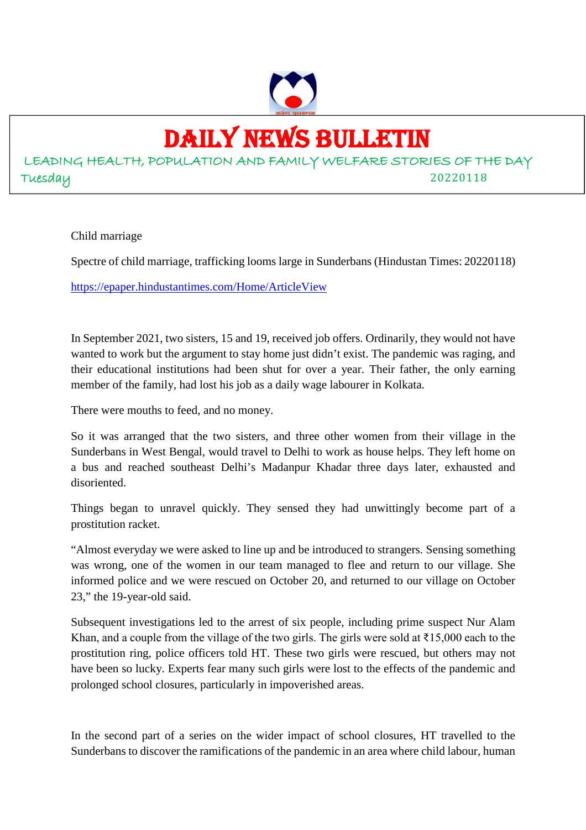

## DAILY NEWS BULLETIN

LEADING HEALTH, POPULATION AND FAMILY WELFARE STORIES OF THE DAY Tuesday 20220118

Child marriage

Spectre of child marriage, trafficking looms large in Sunderbans (Hindustan Times: 20220118)

https://epaper.hindustantimes.com/Home/ArticleView

In September 2021, two sisters, 15 and 19, received job offers. Ordinarily, they would not have wanted to work but the argument to stay home just didn't exist. The pandemic was raging, and their educational institutions had been shut for over a year. Their father, the only earning member of the family, had lost his job as a daily wage labourer in Kolkata.

There were mouths to feed, and no money.

So it was arranged that the two sisters, and three other women from their village in the Sunderbans in West Bengal, would travel to Delhi to work as house helps. They left home on a bus and reached southeast Delhi's Madanpur Khadar three days later, exhausted and disoriented.

Things began to unravel quickly. They sensed they had unwittingly become part of a prostitution racket.

"Almost everyday we were asked to line up and be introduced to strangers. Sensing something was wrong, one of the women in our team managed to flee and return to our village. She informed police and we were rescued on October 20, and returned to our village on October 23," the 19-year-old said.

Subsequent investigations led to the arrest of six people, including prime suspect Nur Alam Khan, and a couple from the village of the two girls. The girls were sold at  $\overline{\epsilon}$ 15,000 each to the prostitution ring, police officers told HT. These two girls were rescued, but others may not have been so lucky. Experts fear many such girls were lost to the effects of the pandemic and prolonged school closures, particularly in impoverished areas.

In the second part of a series on the wider impact of school closures, HT travelled to the Sunderbans to discover the ramifications of the pandemic in an area where child labour, human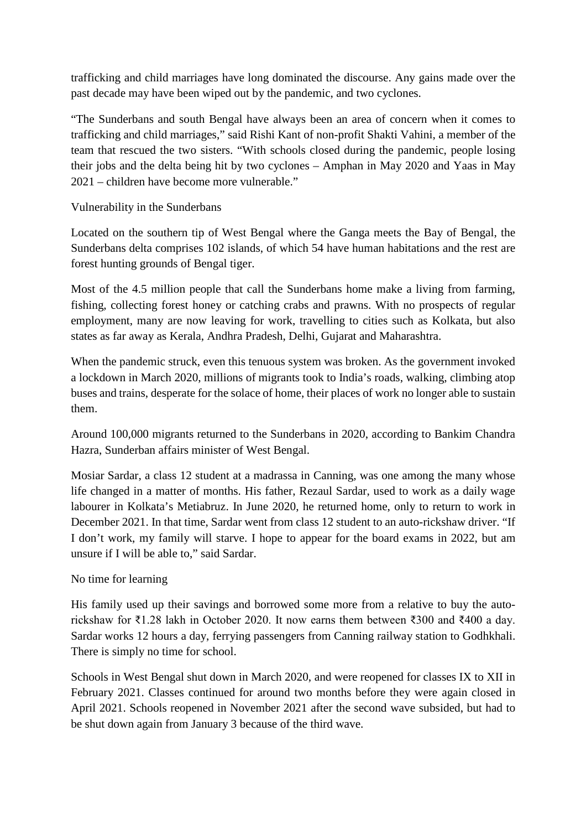trafficking and child marriages have long dominated the discourse. Any gains made over the past decade may have been wiped out by the pandemic, and two cyclones.

"The Sunderbans and south Bengal have always been an area of concern when it comes to trafficking and child marriages," said Rishi Kant of non-profit Shakti Vahini, a member of the team that rescued the two sisters. "With schools closed during the pandemic, people losing their jobs and the delta being hit by two cyclones – Amphan in May 2020 and Yaas in May 2021 – children have become more vulnerable."

Vulnerability in the Sunderbans

Located on the southern tip of West Bengal where the Ganga meets the Bay of Bengal, the Sunderbans delta comprises 102 islands, of which 54 have human habitations and the rest are forest hunting grounds of Bengal tiger.

Most of the 4.5 million people that call the Sunderbans home make a living from farming, fishing, collecting forest honey or catching crabs and prawns. With no prospects of regular employment, many are now leaving for work, travelling to cities such as Kolkata, but also states as far away as Kerala, Andhra Pradesh, Delhi, Gujarat and Maharashtra.

When the pandemic struck, even this tenuous system was broken. As the government invoked a lockdown in March 2020, millions of migrants took to India's roads, walking, climbing atop buses and trains, desperate for the solace of home, their places of work no longer able to sustain them.

Around 100,000 migrants returned to the Sunderbans in 2020, according to Bankim Chandra Hazra, Sunderban affairs minister of West Bengal.

Mosiar Sardar, a class 12 student at a madrassa in Canning, was one among the many whose life changed in a matter of months. His father, Rezaul Sardar, used to work as a daily wage labourer in Kolkata's Metiabruz. In June 2020, he returned home, only to return to work in December 2021. In that time, Sardar went from class 12 student to an auto-rickshaw driver. "If I don't work, my family will starve. I hope to appear for the board exams in 2022, but am unsure if I will be able to," said Sardar.

#### No time for learning

His family used up their savings and borrowed some more from a relative to buy the autorickshaw for ₹1.28 lakh in October 2020. It now earns them between ₹300 and ₹400 a day. Sardar works 12 hours a day, ferrying passengers from Canning railway station to Godhkhali. There is simply no time for school.

Schools in West Bengal shut down in March 2020, and were reopened for classes IX to XII in February 2021. Classes continued for around two months before they were again closed in April 2021. Schools reopened in November 2021 after the second wave subsided, but had to be shut down again from January 3 because of the third wave.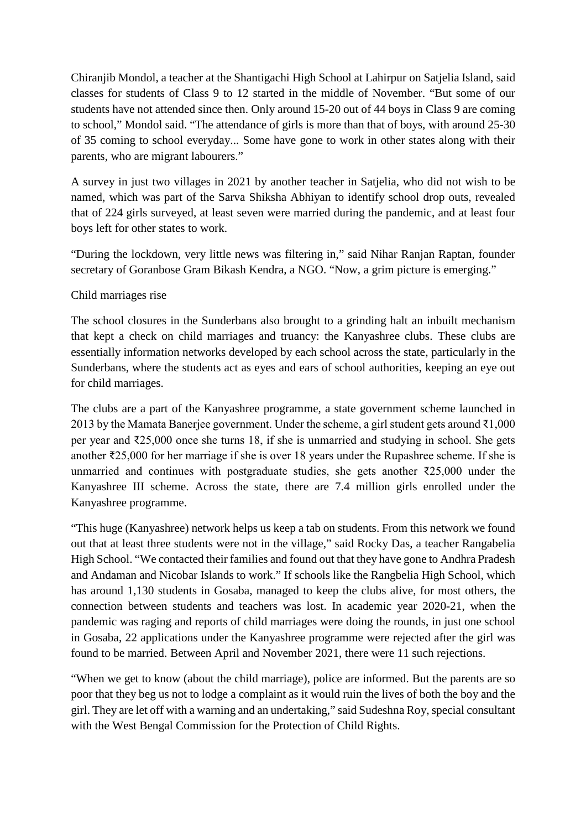Chiranjib Mondol, a teacher at the Shantigachi High School at Lahirpur on Satjelia Island, said classes for students of Class 9 to 12 started in the middle of November. "But some of our students have not attended since then. Only around 15-20 out of 44 boys in Class 9 are coming to school," Mondol said. "The attendance of girls is more than that of boys, with around 25-30 of 35 coming to school everyday... Some have gone to work in other states along with their parents, who are migrant labourers."

A survey in just two villages in 2021 by another teacher in Satjelia, who did not wish to be named, which was part of the Sarva Shiksha Abhiyan to identify school drop outs, revealed that of 224 girls surveyed, at least seven were married during the pandemic, and at least four boys left for other states to work.

"During the lockdown, very little news was filtering in," said Nihar Ranjan Raptan, founder secretary of Goranbose Gram Bikash Kendra, a NGO. "Now, a grim picture is emerging."

#### Child marriages rise

The school closures in the Sunderbans also brought to a grinding halt an inbuilt mechanism that kept a check on child marriages and truancy: the Kanyashree clubs. These clubs are essentially information networks developed by each school across the state, particularly in the Sunderbans, where the students act as eyes and ears of school authorities, keeping an eye out for child marriages.

The clubs are a part of the Kanyashree programme, a state government scheme launched in 2013 by the Mamata Banerjee government. Under the scheme, a girl student gets around ₹1,000 per year and ₹25,000 once she turns 18, if she is unmarried and studying in school. She gets another ₹25,000 for her marriage if she is over 18 years under the Rupashree scheme. If she is unmarried and continues with postgraduate studies, she gets another  $\overline{2}25,000$  under the Kanyashree III scheme. Across the state, there are 7.4 million girls enrolled under the Kanyashree programme.

"This huge (Kanyashree) network helps us keep a tab on students. From this network we found out that at least three students were not in the village," said Rocky Das, a teacher Rangabelia High School. "We contacted their families and found out that they have gone to Andhra Pradesh and Andaman and Nicobar Islands to work." If schools like the Rangbelia High School, which has around 1,130 students in Gosaba, managed to keep the clubs alive, for most others, the connection between students and teachers was lost. In academic year 2020-21, when the pandemic was raging and reports of child marriages were doing the rounds, in just one school in Gosaba, 22 applications under the Kanyashree programme were rejected after the girl was found to be married. Between April and November 2021, there were 11 such rejections.

"When we get to know (about the child marriage), police are informed. But the parents are so poor that they beg us not to lodge a complaint as it would ruin the lives of both the boy and the girl. They are let off with a warning and an undertaking," said Sudeshna Roy, special consultant with the West Bengal Commission for the Protection of Child Rights.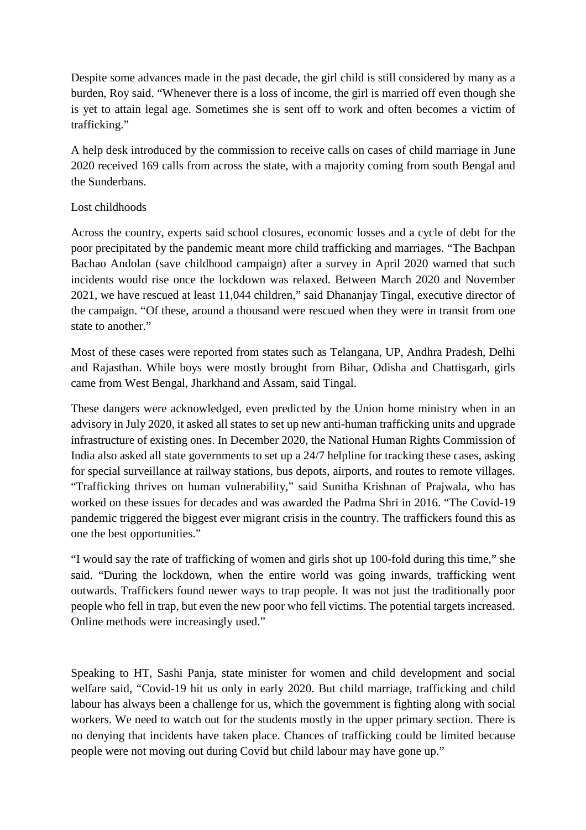Despite some advances made in the past decade, the girl child is still considered by many as a burden, Roy said. "Whenever there is a loss of income, the girl is married off even though she is yet to attain legal age. Sometimes she is sent off to work and often becomes a victim of trafficking."

A help desk introduced by the commission to receive calls on cases of child marriage in June 2020 received 169 calls from across the state, with a majority coming from south Bengal and the Sunderbans.

#### Lost childhoods

Across the country, experts said school closures, economic losses and a cycle of debt for the poor precipitated by the pandemic meant more child trafficking and marriages. "The Bachpan Bachao Andolan (save childhood campaign) after a survey in April 2020 warned that such incidents would rise once the lockdown was relaxed. Between March 2020 and November 2021, we have rescued at least 11,044 children," said Dhananjay Tingal, executive director of the campaign. "Of these, around a thousand were rescued when they were in transit from one state to another."

Most of these cases were reported from states such as Telangana, UP, Andhra Pradesh, Delhi and Rajasthan. While boys were mostly brought from Bihar, Odisha and Chattisgarh, girls came from West Bengal, Jharkhand and Assam, said Tingal.

These dangers were acknowledged, even predicted by the Union home ministry when in an advisory in July 2020, it asked all states to set up new anti-human trafficking units and upgrade infrastructure of existing ones. In December 2020, the National Human Rights Commission of India also asked all state governments to set up a 24/7 helpline for tracking these cases, asking for special surveillance at railway stations, bus depots, airports, and routes to remote villages. "Trafficking thrives on human vulnerability," said Sunitha Krishnan of Prajwala, who has worked on these issues for decades and was awarded the Padma Shri in 2016. "The Covid-19 pandemic triggered the biggest ever migrant crisis in the country. The traffickers found this as one the best opportunities."

"I would say the rate of trafficking of women and girls shot up 100-fold during this time," she said. "During the lockdown, when the entire world was going inwards, trafficking went outwards. Traffickers found newer ways to trap people. It was not just the traditionally poor people who fell in trap, but even the new poor who fell victims. The potential targets increased. Online methods were increasingly used."

Speaking to HT, Sashi Panja, state minister for women and child development and social welfare said, "Covid-19 hit us only in early 2020. But child marriage, trafficking and child labour has always been a challenge for us, which the government is fighting along with social workers. We need to watch out for the students mostly in the upper primary section. There is no denying that incidents have taken place. Chances of trafficking could be limited because people were not moving out during Covid but child labour may have gone up."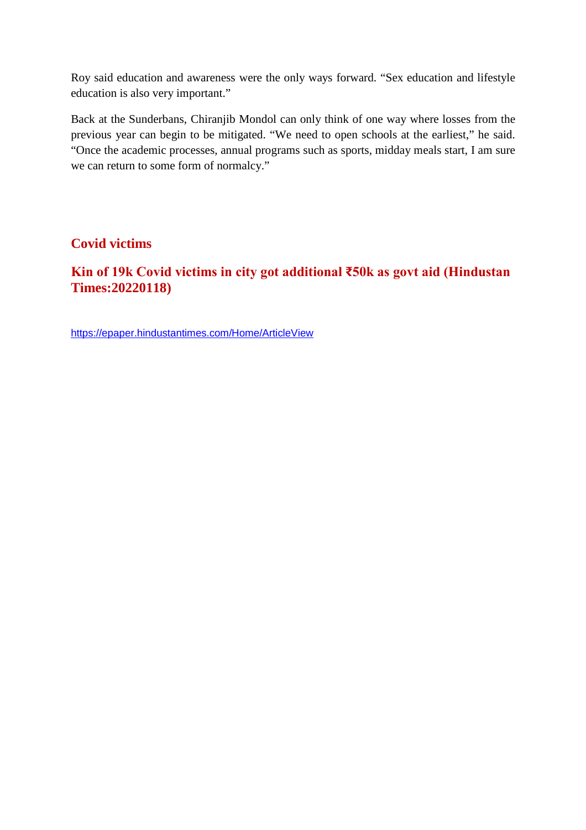Roy said education and awareness were the only ways forward. "Sex education and lifestyle education is also very important."

Back at the Sunderbans, Chiranjib Mondol can only think of one way where losses from the previous year can begin to be mitigated. "We need to open schools at the earliest," he said. "Once the academic processes, annual programs such as sports, midday meals start, I am sure we can return to some form of normalcy."

### **Covid victims**

## **Kin of 19k Covid victims in city got additional ₹50k as govt aid (Hindustan Times:20220118)**

https://epaper.hindustantimes.com/Home/ArticleView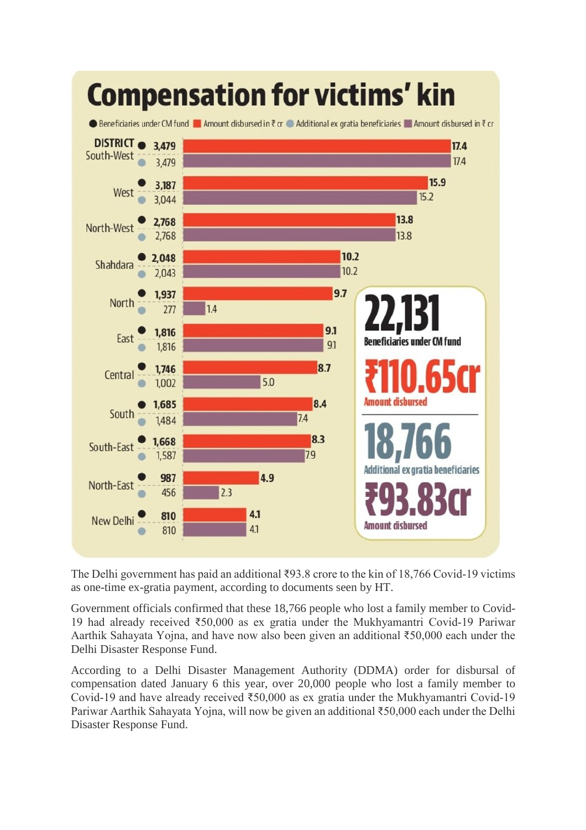

The Delhi government has paid an additional ₹93.8 crore to the kin of 18,766 Covid-19 victims as one-time ex-gratia payment, according to documents seen by HT.

Government officials confirmed that these 18,766 people who lost a family member to Covid-19 had already received ₹50,000 as ex gratia under the Mukhyamantri Covid-19 Pariwar Aarthik Sahayata Yojna, and have now also been given an additional ₹50,000 each under the Delhi Disaster Response Fund.

According to a Delhi Disaster Management Authority (DDMA) order for disbursal of compensation dated January 6 this year, over 20,000 people who lost a family member to Covid-19 and have already received ₹50,000 as ex gratia under the Mukhyamantri Covid-19 Pariwar Aarthik Sahayata Yojna, will now be given an additional ₹50,000 each under the Delhi Disaster Response Fund.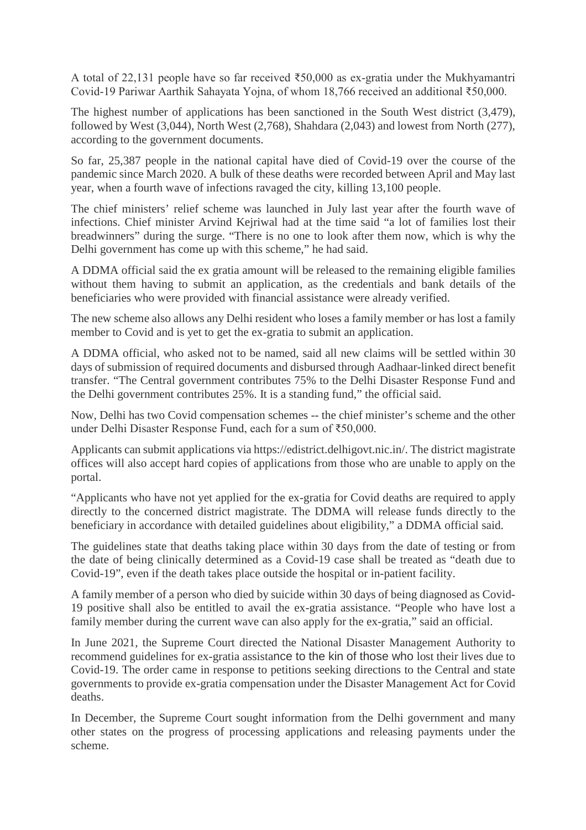A total of 22,131 people have so far received ₹50,000 as ex-gratia under the Mukhyamantri Covid-19 Pariwar Aarthik Sahayata Yojna, of whom 18,766 received an additional ₹50,000.

The highest number of applications has been sanctioned in the South West district (3,479), followed by West (3,044), North West (2,768), Shahdara (2,043) and lowest from North (277), according to the government documents.

So far, 25,387 people in the national capital have died of Covid-19 over the course of the pandemic since March 2020. A bulk of these deaths were recorded between April and May last year, when a fourth wave of infections ravaged the city, killing 13,100 people.

The chief ministers' relief scheme was launched in July last year after the fourth wave of infections. Chief minister Arvind Kejriwal had at the time said "a lot of families lost their breadwinners" during the surge. "There is no one to look after them now, which is why the Delhi government has come up with this scheme," he had said.

A DDMA official said the ex gratia amount will be released to the remaining eligible families without them having to submit an application, as the credentials and bank details of the beneficiaries who were provided with financial assistance were already verified.

The new scheme also allows any Delhi resident who loses a family member or has lost a family member to Covid and is yet to get the ex-gratia to submit an application.

A DDMA official, who asked not to be named, said all new claims will be settled within 30 days of submission of required documents and disbursed through Aadhaar-linked direct benefit transfer. "The Central government contributes 75% to the Delhi Disaster Response Fund and the Delhi government contributes 25%. It is a standing fund," the official said.

Now, Delhi has two Covid compensation schemes -- the chief minister's scheme and the other under Delhi Disaster Response Fund, each for a sum of ₹50,000.

Applicants can submit applications via https://edistrict.delhigovt.nic.in/. The district magistrate offices will also accept hard copies of applications from those who are unable to apply on the portal.

"Applicants who have not yet applied for the ex-gratia for Covid deaths are required to apply directly to the concerned district magistrate. The DDMA will release funds directly to the beneficiary in accordance with detailed guidelines about eligibility," a DDMA official said.

The guidelines state that deaths taking place within 30 days from the date of testing or from the date of being clinically determined as a Covid-19 case shall be treated as "death due to Covid-19", even if the death takes place outside the hospital or in-patient facility.

A family member of a person who died by suicide within 30 days of being diagnosed as Covid-19 positive shall also be entitled to avail the ex-gratia assistance. "People who have lost a family member during the current wave can also apply for the ex-gratia," said an official.

In June 2021, the Supreme Court directed the National Disaster Management Authority to recommend guidelines for ex-gratia assistance to the kin of those who lost their lives due to Covid-19. The order came in response to petitions seeking directions to the Central and state governments to provide ex-gratia compensation under the Disaster Management Act for Covid deaths.

In December, the Supreme Court sought information from the Delhi government and many other states on the progress of processing applications and releasing payments under the scheme.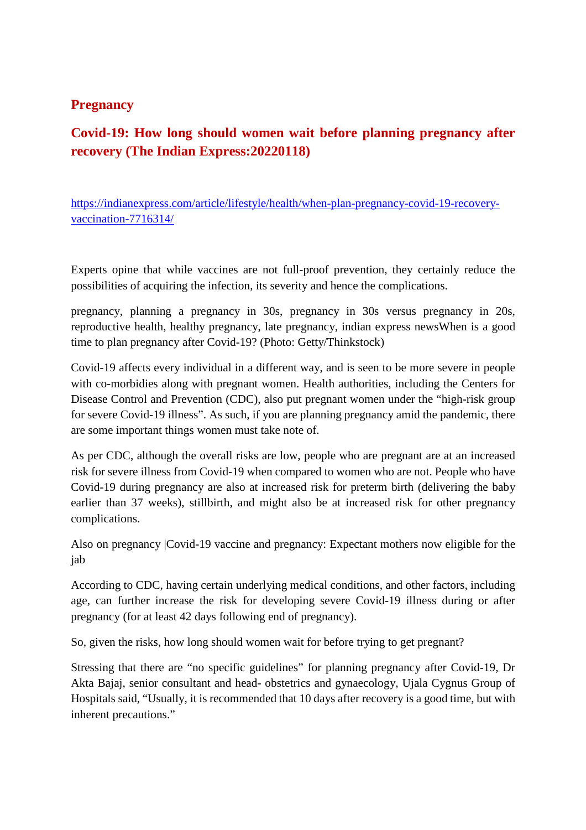#### **Pregnancy**

## **Covid-19: How long should women wait before planning pregnancy after recovery (The Indian Express:20220118)**

https://indianexpress.com/article/lifestyle/health/when-plan-pregnancy-covid-19-recoveryvaccination-7716314/

Experts opine that while vaccines are not full-proof prevention, they certainly reduce the possibilities of acquiring the infection, its severity and hence the complications.

pregnancy, planning a pregnancy in 30s, pregnancy in 30s versus pregnancy in 20s, reproductive health, healthy pregnancy, late pregnancy, indian express newsWhen is a good time to plan pregnancy after Covid-19? (Photo: Getty/Thinkstock)

Covid-19 affects every individual in a different way, and is seen to be more severe in people with co-morbidies along with pregnant women. Health authorities, including the Centers for Disease Control and Prevention (CDC), also put pregnant women under the "high-risk group for severe Covid-19 illness". As such, if you are planning pregnancy amid the pandemic, there are some important things women must take note of.

As per CDC, although the overall risks are low, people who are pregnant are at an increased risk for severe illness from Covid-19 when compared to women who are not. People who have Covid-19 during pregnancy are also at increased risk for preterm birth (delivering the baby earlier than 37 weeks), stillbirth, and might also be at increased risk for other pregnancy complications.

Also on pregnancy |Covid-19 vaccine and pregnancy: Expectant mothers now eligible for the jab

According to CDC, having certain underlying medical conditions, and other factors, including age, can further increase the risk for developing severe Covid-19 illness during or after pregnancy (for at least 42 days following end of pregnancy).

So, given the risks, how long should women wait for before trying to get pregnant?

Stressing that there are "no specific guidelines" for planning pregnancy after Covid-19, Dr Akta Bajaj, senior consultant and head- obstetrics and gynaecology, Ujala Cygnus Group of Hospitals said, "Usually, it is recommended that 10 days after recovery is a good time, but with inherent precautions."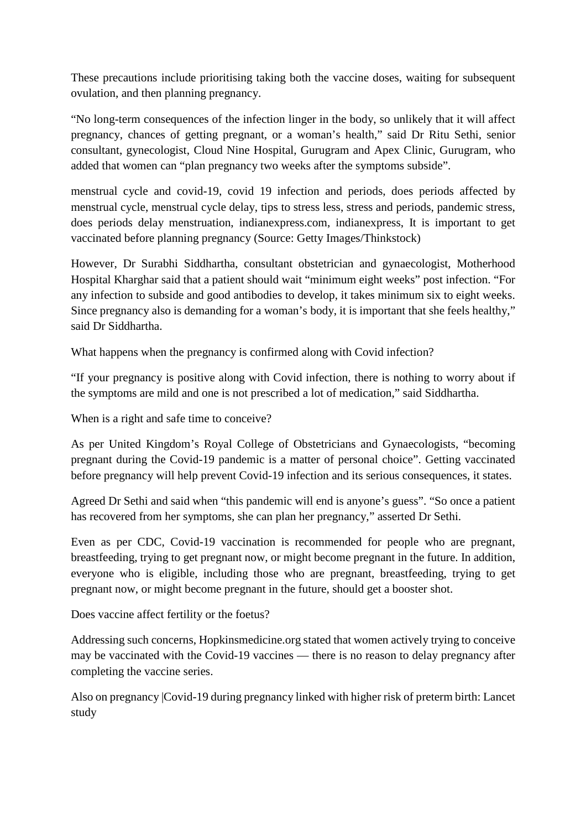These precautions include prioritising taking both the vaccine doses, waiting for subsequent ovulation, and then planning pregnancy.

"No long-term consequences of the infection linger in the body, so unlikely that it will affect pregnancy, chances of getting pregnant, or a woman's health," said Dr Ritu Sethi, senior consultant, gynecologist, Cloud Nine Hospital, Gurugram and Apex Clinic, Gurugram, who added that women can "plan pregnancy two weeks after the symptoms subside".

menstrual cycle and covid-19, covid 19 infection and periods, does periods affected by menstrual cycle, menstrual cycle delay, tips to stress less, stress and periods, pandemic stress, does periods delay menstruation, indianexpress.com, indianexpress, It is important to get vaccinated before planning pregnancy (Source: Getty Images/Thinkstock)

However, Dr Surabhi Siddhartha, consultant obstetrician and gynaecologist, Motherhood Hospital Kharghar said that a patient should wait "minimum eight weeks" post infection. "For any infection to subside and good antibodies to develop, it takes minimum six to eight weeks. Since pregnancy also is demanding for a woman's body, it is important that she feels healthy," said Dr Siddhartha.

What happens when the pregnancy is confirmed along with Covid infection?

"If your pregnancy is positive along with Covid infection, there is nothing to worry about if the symptoms are mild and one is not prescribed a lot of medication," said Siddhartha.

When is a right and safe time to conceive?

As per United Kingdom's Royal College of Obstetricians and Gynaecologists, "becoming pregnant during the Covid-19 pandemic is a matter of personal choice". Getting vaccinated before pregnancy will help prevent Covid-19 infection and its serious consequences, it states.

Agreed Dr Sethi and said when "this pandemic will end is anyone's guess". "So once a patient has recovered from her symptoms, she can plan her pregnancy," asserted Dr Sethi.

Even as per CDC, Covid-19 vaccination is recommended for people who are pregnant, breastfeeding, trying to get pregnant now, or might become pregnant in the future. In addition, everyone who is eligible, including those who are pregnant, breastfeeding, trying to get pregnant now, or might become pregnant in the future, should get a booster shot.

Does vaccine affect fertility or the foetus?

Addressing such concerns, Hopkinsmedicine.org stated that women actively trying to conceive may be vaccinated with the Covid-19 vaccines — there is no reason to delay pregnancy after completing the vaccine series.

Also on pregnancy |Covid-19 during pregnancy linked with higher risk of preterm birth: Lancet study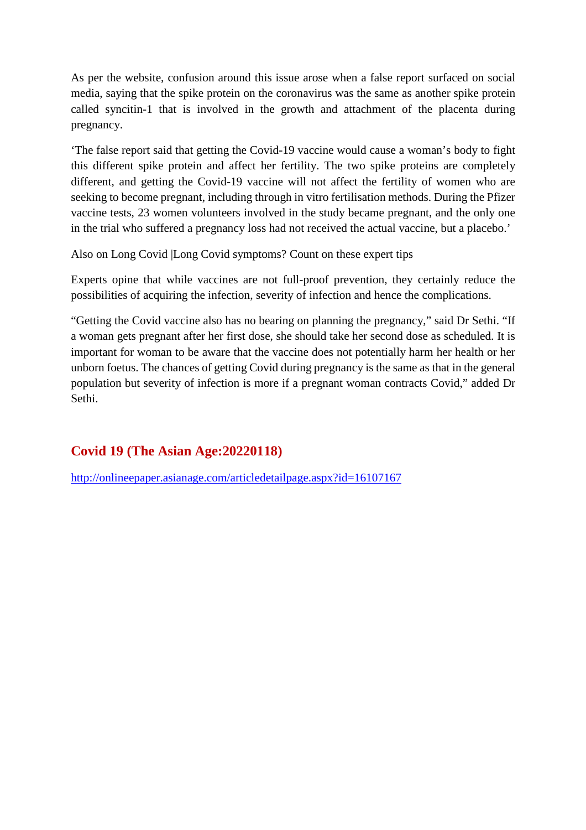As per the website, confusion around this issue arose when a false report surfaced on social media, saying that the spike protein on the coronavirus was the same as another spike protein called syncitin-1 that is involved in the growth and attachment of the placenta during pregnancy.

'The false report said that getting the Covid-19 vaccine would cause a woman's body to fight this different spike protein and affect her fertility. The two spike proteins are completely different, and getting the Covid-19 vaccine will not affect the fertility of women who are seeking to become pregnant, including through in vitro fertilisation methods. During the Pfizer vaccine tests, 23 women volunteers involved in the study became pregnant, and the only one in the trial who suffered a pregnancy loss had not received the actual vaccine, but a placebo.'

Also on Long Covid |Long Covid symptoms? Count on these expert tips

Experts opine that while vaccines are not full-proof prevention, they certainly reduce the possibilities of acquiring the infection, severity of infection and hence the complications.

"Getting the Covid vaccine also has no bearing on planning the pregnancy," said Dr Sethi. "If a woman gets pregnant after her first dose, she should take her second dose as scheduled. It is important for woman to be aware that the vaccine does not potentially harm her health or her unborn foetus. The chances of getting Covid during pregnancy is the same as that in the general population but severity of infection is more if a pregnant woman contracts Covid," added Dr Sethi.

## **Covid 19 (The Asian Age:20220118)**

http://onlineepaper.asianage.com/articledetailpage.aspx?id=16107167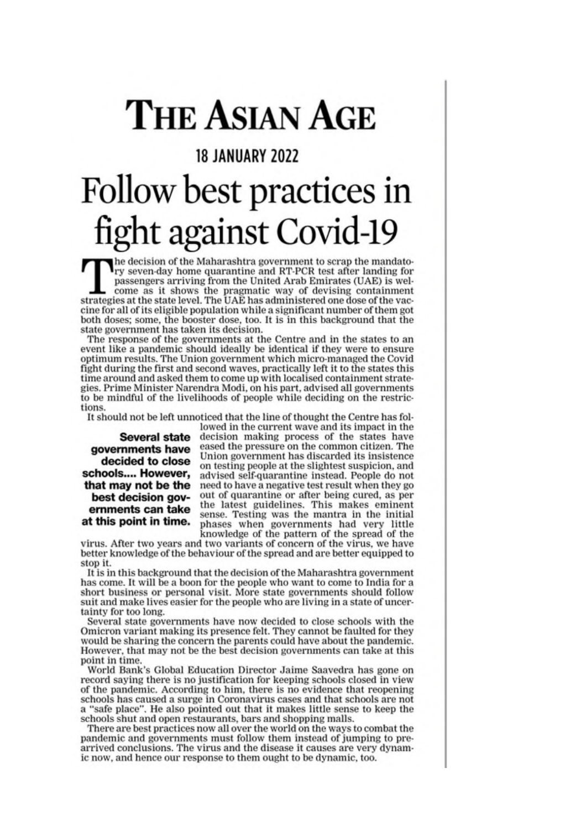# THE ASIAN AGE

## **18 JANUARY 2022**

# Follow best practices in fight against Covid-19

he decision of the Maharashtra government to scrap the mandato-The decision of the Maharashura government to strap the minimal for<br>pry seven day home quarantine and RT-PCR test after landing for<br>passengers arriving from the United Arab Emirates (UAE) is welcome as it shows the pragmatic way of devising containment strategies at the state level. The UAE has administered one dose of the vaccine for all of its eligible population while a significant number of them got both doses; some, the booster dose, too. It is in this background that the state government has taken its decision.

The response of the governments at the Centre and in the states to an event like a pandemic should ideally be identical if they were to ensure optimum results. The Union government which micro-managed the Covid fight during the first and second waves, practically left it to the states this time around and asked them to come up with localised containment strategies. Prime Minister Narendra Modi, on his part, advised all governments to be mindful of the livelihoods of people while deciding on the restrictions

It should not be left unnoticed that the line of thought the Centre has fol-

**Several state** governments have decided to close schools.... However. that may not be the best decision governments can take at this point in time.

lowed in the current wave and its impact in the decision making process of the states have eased the pressure on the common citizen. The Union government has discarded its insistence on testing people at the slightest suspicion, and advised self-quarantine instead. People do not need to have a negative test result when they go out of quarantine or after being cured, as per the latest guidelines. This makes eminent sense. Testing was the mantra in the initial phases when governments had very little knowledge of the pattern of the spread of the

virus. After two years and two variants of concern of the virus, we have better knowledge of the behaviour of the spread and are better equipped to stop it.

It is in this background that the decision of the Maharashtra government has come. It will be a boon for the people who want to come to India for a short business or personal visit. More state governments should follow suit and make lives easier for the people who are living in a state of uncertainty for too long.

Several state governments have now decided to close schools with the Omicron variant making its presence felt. They cannot be faulted for they would be sharing the concern the parents could have about the pandemic. However, that may not be the best decision governments can take at this point in time.

World Bank's Global Education Director Jaime Saavedra has gone on record saying there is no justification for keeping schools closed in view of the pandemic. According to him, there is no evidence that reopening schools has caused a surge in Coronavirus cases and that schools are not a "safe place". He also pointed out that it makes little sense to keep the schools shut and open restaurants, bars and shopping malls.

There are best practices now all over the world on the ways to combat the pandemic and governments must follow them instead of jumping to prearrived conclusions. The virus and the disease it causes are very dynamic now, and hence our response to them ought to be dynamic, too.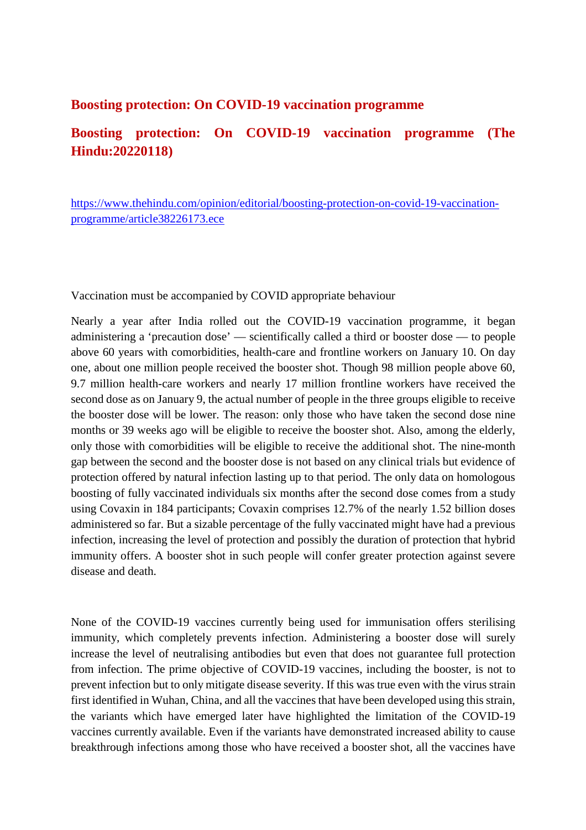#### **Boosting protection: On COVID-19 vaccination programme**

## **Boosting protection: On COVID-19 vaccination programme (The Hindu:20220118)**

https://www.thehindu.com/opinion/editorial/boosting-protection-on-covid-19-vaccinationprogramme/article38226173.ece

Vaccination must be accompanied by COVID appropriate behaviour

Nearly a year after India rolled out the COVID-19 vaccination programme, it began administering a 'precaution dose' — scientifically called a third or booster dose — to people above 60 years with comorbidities, health-care and frontline workers on January 10. On day one, about one million people received the booster shot. Though 98 million people above 60, 9.7 million health-care workers and nearly 17 million frontline workers have received the second dose as on January 9, the actual number of people in the three groups eligible to receive the booster dose will be lower. The reason: only those who have taken the second dose nine months or 39 weeks ago will be eligible to receive the booster shot. Also, among the elderly, only those with comorbidities will be eligible to receive the additional shot. The nine-month gap between the second and the booster dose is not based on any clinical trials but evidence of protection offered by natural infection lasting up to that period. The only data on homologous boosting of fully vaccinated individuals six months after the second dose comes from a study using Covaxin in 184 participants; Covaxin comprises 12.7% of the nearly 1.52 billion doses administered so far. But a sizable percentage of the fully vaccinated might have had a previous infection, increasing the level of protection and possibly the duration of protection that hybrid immunity offers. A booster shot in such people will confer greater protection against severe disease and death.

None of the COVID-19 vaccines currently being used for immunisation offers sterilising immunity, which completely prevents infection. Administering a booster dose will surely increase the level of neutralising antibodies but even that does not guarantee full protection from infection. The prime objective of COVID-19 vaccines, including the booster, is not to prevent infection but to only mitigate disease severity. If this was true even with the virus strain first identified in Wuhan, China, and all the vaccines that have been developed using this strain, the variants which have emerged later have highlighted the limitation of the COVID-19 vaccines currently available. Even if the variants have demonstrated increased ability to cause breakthrough infections among those who have received a booster shot, all the vaccines have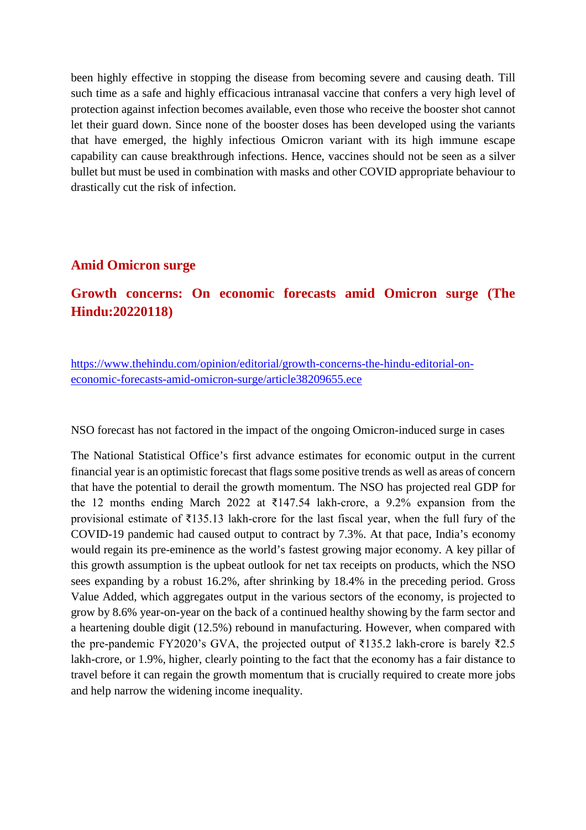been highly effective in stopping the disease from becoming severe and causing death. Till such time as a safe and highly efficacious intranasal vaccine that confers a very high level of protection against infection becomes available, even those who receive the booster shot cannot let their guard down. Since none of the booster doses has been developed using the variants that have emerged, the highly infectious Omicron variant with its high immune escape capability can cause breakthrough infections. Hence, vaccines should not be seen as a silver bullet but must be used in combination with masks and other COVID appropriate behaviour to drastically cut the risk of infection.

#### **Amid Omicron surge**

## **Growth concerns: On economic forecasts amid Omicron surge (The Hindu:20220118)**

https://www.thehindu.com/opinion/editorial/growth-concerns-the-hindu-editorial-oneconomic-forecasts-amid-omicron-surge/article38209655.ece

NSO forecast has not factored in the impact of the ongoing Omicron-induced surge in cases

The National Statistical Office's first advance estimates for economic output in the current financial year is an optimistic forecast that flags some positive trends as well as areas of concern that have the potential to derail the growth momentum. The NSO has projected real GDP for the 12 months ending March 2022 at  $\overline{\epsilon}$ 147.54 lakh-crore, a 9.2% expansion from the provisional estimate of ₹135.13 lakh-crore for the last fiscal year, when the full fury of the COVID-19 pandemic had caused output to contract by 7.3%. At that pace, India's economy would regain its pre-eminence as the world's fastest growing major economy. A key pillar of this growth assumption is the upbeat outlook for net tax receipts on products, which the NSO sees expanding by a robust 16.2%, after shrinking by 18.4% in the preceding period. Gross Value Added, which aggregates output in the various sectors of the economy, is projected to grow by 8.6% year-on-year on the back of a continued healthy showing by the farm sector and a heartening double digit (12.5%) rebound in manufacturing. However, when compared with the pre-pandemic FY2020's GVA, the projected output of  $\overline{\xi}$ 135.2 lakh-crore is barely  $\overline{\xi}$ 2.5 lakh-crore, or 1.9%, higher, clearly pointing to the fact that the economy has a fair distance to travel before it can regain the growth momentum that is crucially required to create more jobs and help narrow the widening income inequality.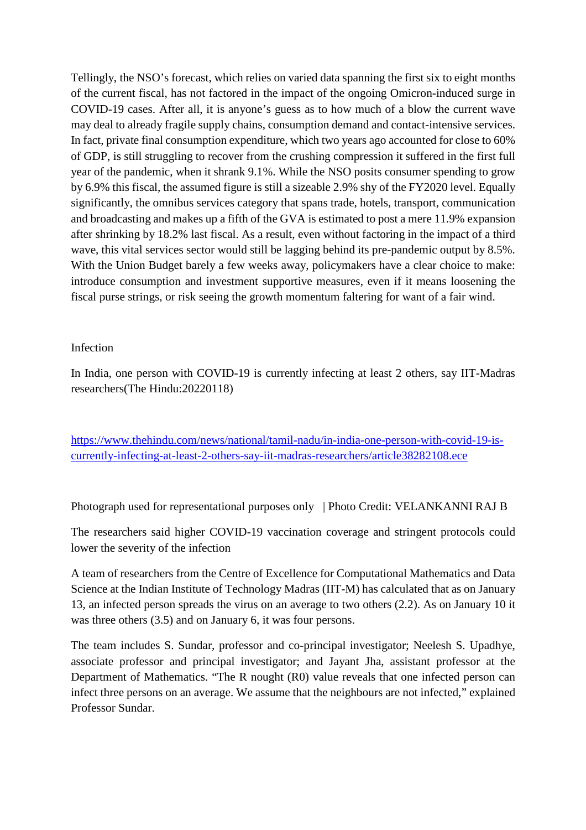Tellingly, the NSO's forecast, which relies on varied data spanning the first six to eight months of the current fiscal, has not factored in the impact of the ongoing Omicron-induced surge in COVID-19 cases. After all, it is anyone's guess as to how much of a blow the current wave may deal to already fragile supply chains, consumption demand and contact-intensive services. In fact, private final consumption expenditure, which two years ago accounted for close to 60% of GDP, is still struggling to recover from the crushing compression it suffered in the first full year of the pandemic, when it shrank 9.1%. While the NSO posits consumer spending to grow by 6.9% this fiscal, the assumed figure is still a sizeable 2.9% shy of the FY2020 level. Equally significantly, the omnibus services category that spans trade, hotels, transport, communication and broadcasting and makes up a fifth of the GVA is estimated to post a mere 11.9% expansion after shrinking by 18.2% last fiscal. As a result, even without factoring in the impact of a third wave, this vital services sector would still be lagging behind its pre-pandemic output by 8.5%. With the Union Budget barely a few weeks away, policymakers have a clear choice to make: introduce consumption and investment supportive measures, even if it means loosening the fiscal purse strings, or risk seeing the growth momentum faltering for want of a fair wind.

#### Infection

In India, one person with COVID-19 is currently infecting at least 2 others, say IIT-Madras researchers(The Hindu:20220118)

https://www.thehindu.com/news/national/tamil-nadu/in-india-one-person-with-covid-19-iscurrently-infecting-at-least-2-others-say-iit-madras-researchers/article38282108.ece

Photograph used for representational purposes only | Photo Credit: VELANKANNI RAJ B

The researchers said higher COVID-19 vaccination coverage and stringent protocols could lower the severity of the infection

A team of researchers from the Centre of Excellence for Computational Mathematics and Data Science at the Indian Institute of Technology Madras (IIT-M) has calculated that as on January 13, an infected person spreads the virus on an average to two others (2.2). As on January 10 it was three others (3.5) and on January 6, it was four persons.

The team includes S. Sundar, professor and co-principal investigator; Neelesh S. Upadhye, associate professor and principal investigator; and Jayant Jha, assistant professor at the Department of Mathematics. "The R nought (R0) value reveals that one infected person can infect three persons on an average. We assume that the neighbours are not infected," explained Professor Sundar.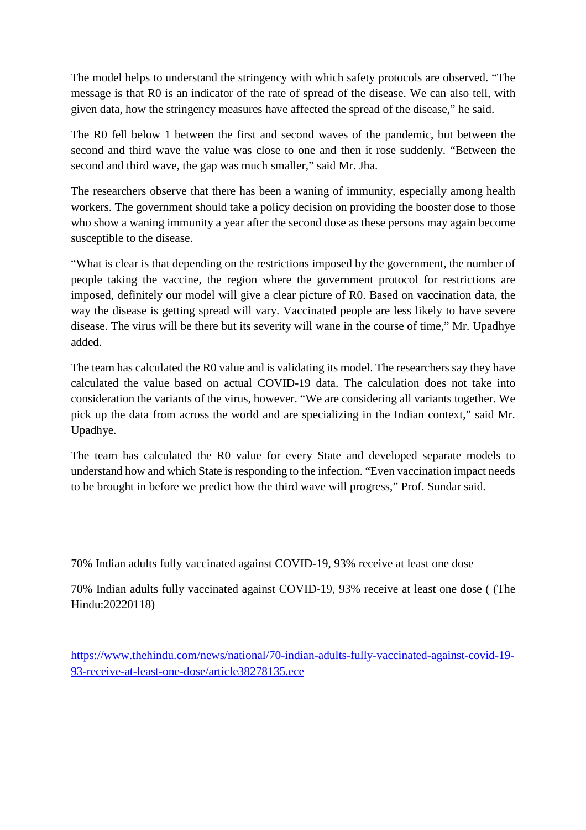The model helps to understand the stringency with which safety protocols are observed. "The message is that R0 is an indicator of the rate of spread of the disease. We can also tell, with given data, how the stringency measures have affected the spread of the disease," he said.

The R0 fell below 1 between the first and second waves of the pandemic, but between the second and third wave the value was close to one and then it rose suddenly. "Between the second and third wave, the gap was much smaller," said Mr. Jha.

The researchers observe that there has been a waning of immunity, especially among health workers. The government should take a policy decision on providing the booster dose to those who show a waning immunity a year after the second dose as these persons may again become susceptible to the disease.

"What is clear is that depending on the restrictions imposed by the government, the number of people taking the vaccine, the region where the government protocol for restrictions are imposed, definitely our model will give a clear picture of R0. Based on vaccination data, the way the disease is getting spread will vary. Vaccinated people are less likely to have severe disease. The virus will be there but its severity will wane in the course of time," Mr. Upadhye added.

The team has calculated the R0 value and is validating its model. The researchers say they have calculated the value based on actual COVID-19 data. The calculation does not take into consideration the variants of the virus, however. "We are considering all variants together. We pick up the data from across the world and are specializing in the Indian context," said Mr. Upadhye.

The team has calculated the R0 value for every State and developed separate models to understand how and which State is responding to the infection. "Even vaccination impact needs to be brought in before we predict how the third wave will progress," Prof. Sundar said.

70% Indian adults fully vaccinated against COVID-19, 93% receive at least one dose

70% Indian adults fully vaccinated against COVID-19, 93% receive at least one dose ( (The Hindu:20220118)

https://www.thehindu.com/news/national/70-indian-adults-fully-vaccinated-against-covid-19- 93-receive-at-least-one-dose/article38278135.ece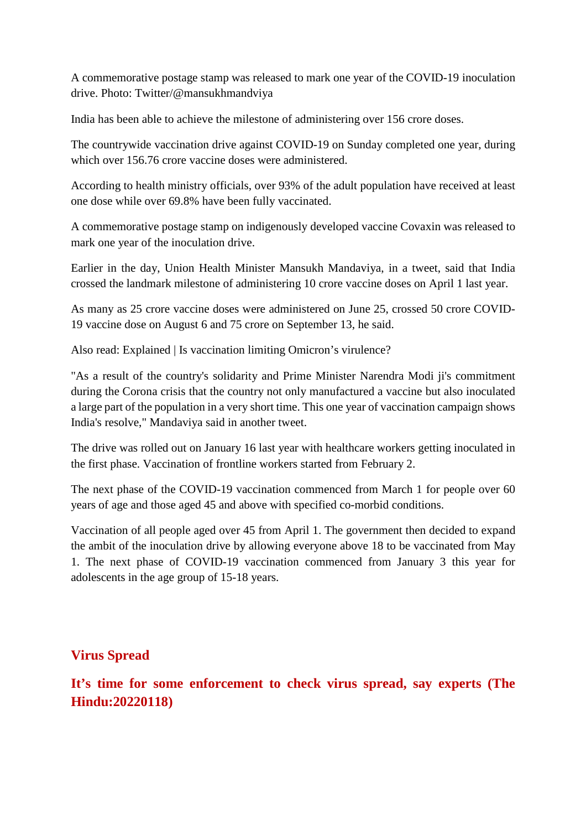A commemorative postage stamp was released to mark one year of the COVID-19 inoculation drive. Photo: Twitter/@mansukhmandviya

India has been able to achieve the milestone of administering over 156 crore doses.

The countrywide vaccination drive against COVID-19 on Sunday completed one year, during which over 156.76 crore vaccine doses were administered.

According to health ministry officials, over 93% of the adult population have received at least one dose while over 69.8% have been fully vaccinated.

A commemorative postage stamp on indigenously developed vaccine Covaxin was released to mark one year of the inoculation drive.

Earlier in the day, Union Health Minister Mansukh Mandaviya, in a tweet, said that India crossed the landmark milestone of administering 10 crore vaccine doses on April 1 last year.

As many as 25 crore vaccine doses were administered on June 25, crossed 50 crore COVID-19 vaccine dose on August 6 and 75 crore on September 13, he said.

Also read: Explained | Is vaccination limiting Omicron's virulence?

"As a result of the country's solidarity and Prime Minister Narendra Modi ji's commitment during the Corona crisis that the country not only manufactured a vaccine but also inoculated a large part of the population in a very short time. This one year of vaccination campaign shows India's resolve," Mandaviya said in another tweet.

The drive was rolled out on January 16 last year with healthcare workers getting inoculated in the first phase. Vaccination of frontline workers started from February 2.

The next phase of the COVID-19 vaccination commenced from March 1 for people over 60 years of age and those aged 45 and above with specified co-morbid conditions.

Vaccination of all people aged over 45 from April 1. The government then decided to expand the ambit of the inoculation drive by allowing everyone above 18 to be vaccinated from May 1. The next phase of COVID-19 vaccination commenced from January 3 this year for adolescents in the age group of 15-18 years.

#### **Virus Spread**

**It's time for some enforcement to check virus spread, say experts (The Hindu:20220118)**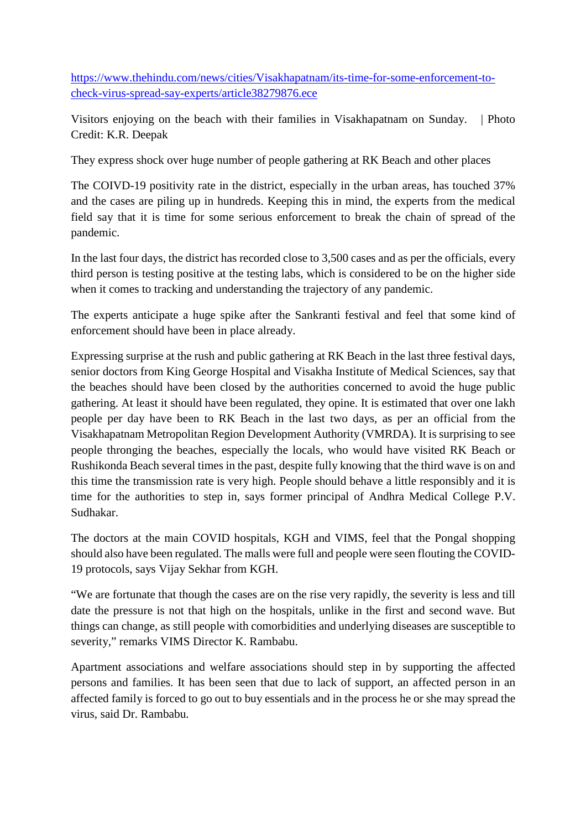https://www.thehindu.com/news/cities/Visakhapatnam/its-time-for-some-enforcement-tocheck-virus-spread-say-experts/article38279876.ece

Visitors enjoying on the beach with their families in Visakhapatnam on Sunday. | Photo Credit: K.R. Deepak

They express shock over huge number of people gathering at RK Beach and other places

The COIVD-19 positivity rate in the district, especially in the urban areas, has touched 37% and the cases are piling up in hundreds. Keeping this in mind, the experts from the medical field say that it is time for some serious enforcement to break the chain of spread of the pandemic.

In the last four days, the district has recorded close to 3,500 cases and as per the officials, every third person is testing positive at the testing labs, which is considered to be on the higher side when it comes to tracking and understanding the trajectory of any pandemic.

The experts anticipate a huge spike after the Sankranti festival and feel that some kind of enforcement should have been in place already.

Expressing surprise at the rush and public gathering at RK Beach in the last three festival days, senior doctors from King George Hospital and Visakha Institute of Medical Sciences, say that the beaches should have been closed by the authorities concerned to avoid the huge public gathering. At least it should have been regulated, they opine. It is estimated that over one lakh people per day have been to RK Beach in the last two days, as per an official from the Visakhapatnam Metropolitan Region Development Authority (VMRDA). It is surprising to see people thronging the beaches, especially the locals, who would have visited RK Beach or Rushikonda Beach several times in the past, despite fully knowing that the third wave is on and this time the transmission rate is very high. People should behave a little responsibly and it is time for the authorities to step in, says former principal of Andhra Medical College P.V. Sudhakar.

The doctors at the main COVID hospitals, KGH and VIMS, feel that the Pongal shopping should also have been regulated. The malls were full and people were seen flouting the COVID-19 protocols, says Vijay Sekhar from KGH.

"We are fortunate that though the cases are on the rise very rapidly, the severity is less and till date the pressure is not that high on the hospitals, unlike in the first and second wave. But things can change, as still people with comorbidities and underlying diseases are susceptible to severity," remarks VIMS Director K. Rambabu.

Apartment associations and welfare associations should step in by supporting the affected persons and families. It has been seen that due to lack of support, an affected person in an affected family is forced to go out to buy essentials and in the process he or she may spread the virus, said Dr. Rambabu.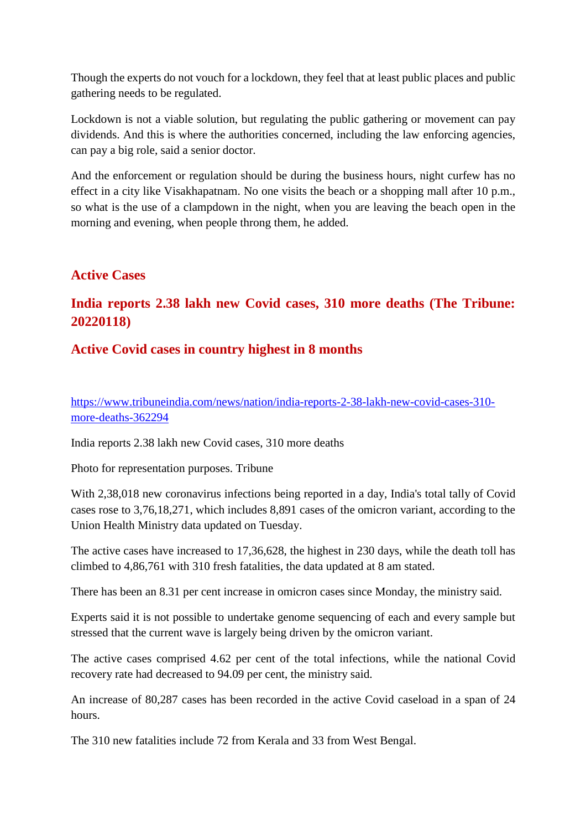Though the experts do not vouch for a lockdown, they feel that at least public places and public gathering needs to be regulated.

Lockdown is not a viable solution, but regulating the public gathering or movement can pay dividends. And this is where the authorities concerned, including the law enforcing agencies, can pay a big role, said a senior doctor.

And the enforcement or regulation should be during the business hours, night curfew has no effect in a city like Visakhapatnam. No one visits the beach or a shopping mall after 10 p.m., so what is the use of a clampdown in the night, when you are leaving the beach open in the morning and evening, when people throng them, he added.

#### **Active Cases**

## **India reports 2.38 lakh new Covid cases, 310 more deaths (The Tribune: 20220118)**

#### **Active Covid cases in country highest in 8 months**

https://www.tribuneindia.com/news/nation/india-reports-2-38-lakh-new-covid-cases-310 more-deaths-362294

India reports 2.38 lakh new Covid cases, 310 more deaths

Photo for representation purposes. Tribune

With 2,38,018 new coronavirus infections being reported in a day, India's total tally of Covid cases rose to 3,76,18,271, which includes 8,891 cases of the omicron variant, according to the Union Health Ministry data updated on Tuesday.

The active cases have increased to 17,36,628, the highest in 230 days, while the death toll has climbed to 4,86,761 with 310 fresh fatalities, the data updated at 8 am stated.

There has been an 8.31 per cent increase in omicron cases since Monday, the ministry said.

Experts said it is not possible to undertake genome sequencing of each and every sample but stressed that the current wave is largely being driven by the omicron variant.

The active cases comprised 4.62 per cent of the total infections, while the national Covid recovery rate had decreased to 94.09 per cent, the ministry said.

An increase of 80,287 cases has been recorded in the active Covid caseload in a span of 24 hours.

The 310 new fatalities include 72 from Kerala and 33 from West Bengal.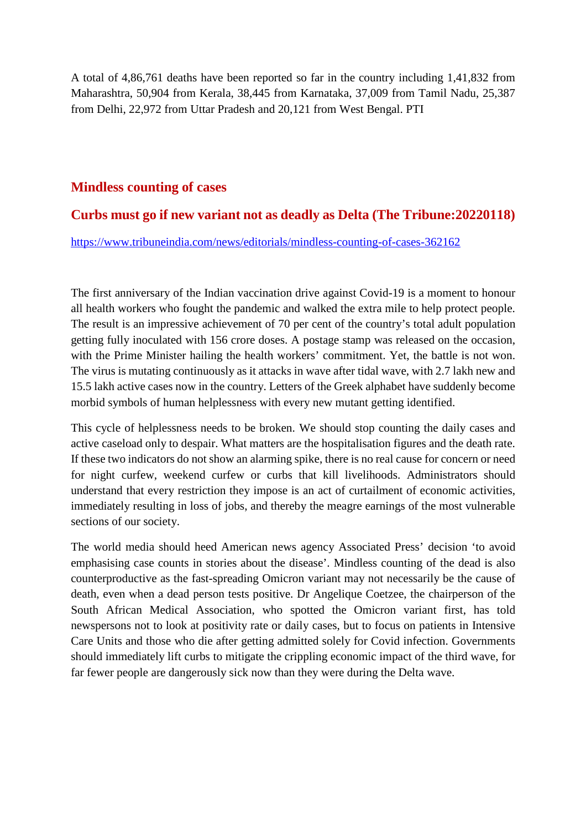A total of 4,86,761 deaths have been reported so far in the country including 1,41,832 from Maharashtra, 50,904 from Kerala, 38,445 from Karnataka, 37,009 from Tamil Nadu, 25,387 from Delhi, 22,972 from Uttar Pradesh and 20,121 from West Bengal. PTI

#### **Mindless counting of cases**

#### **Curbs must go if new variant not as deadly as Delta (The Tribune:20220118)**

https://www.tribuneindia.com/news/editorials/mindless-counting-of-cases-362162

The first anniversary of the Indian vaccination drive against Covid-19 is a moment to honour all health workers who fought the pandemic and walked the extra mile to help protect people. The result is an impressive achievement of 70 per cent of the country's total adult population getting fully inoculated with 156 crore doses. A postage stamp was released on the occasion, with the Prime Minister hailing the health workers' commitment. Yet, the battle is not won. The virus is mutating continuously as it attacks in wave after tidal wave, with 2.7 lakh new and 15.5 lakh active cases now in the country. Letters of the Greek alphabet have suddenly become morbid symbols of human helplessness with every new mutant getting identified.

This cycle of helplessness needs to be broken. We should stop counting the daily cases and active caseload only to despair. What matters are the hospitalisation figures and the death rate. If these two indicators do not show an alarming spike, there is no real cause for concern or need for night curfew, weekend curfew or curbs that kill livelihoods. Administrators should understand that every restriction they impose is an act of curtailment of economic activities, immediately resulting in loss of jobs, and thereby the meagre earnings of the most vulnerable sections of our society.

The world media should heed American news agency Associated Press' decision 'to avoid emphasising case counts in stories about the disease'. Mindless counting of the dead is also counterproductive as the fast-spreading Omicron variant may not necessarily be the cause of death, even when a dead person tests positive. Dr Angelique Coetzee, the chairperson of the South African Medical Association, who spotted the Omicron variant first, has told newspersons not to look at positivity rate or daily cases, but to focus on patients in Intensive Care Units and those who die after getting admitted solely for Covid infection. Governments should immediately lift curbs to mitigate the crippling economic impact of the third wave, for far fewer people are dangerously sick now than they were during the Delta wave.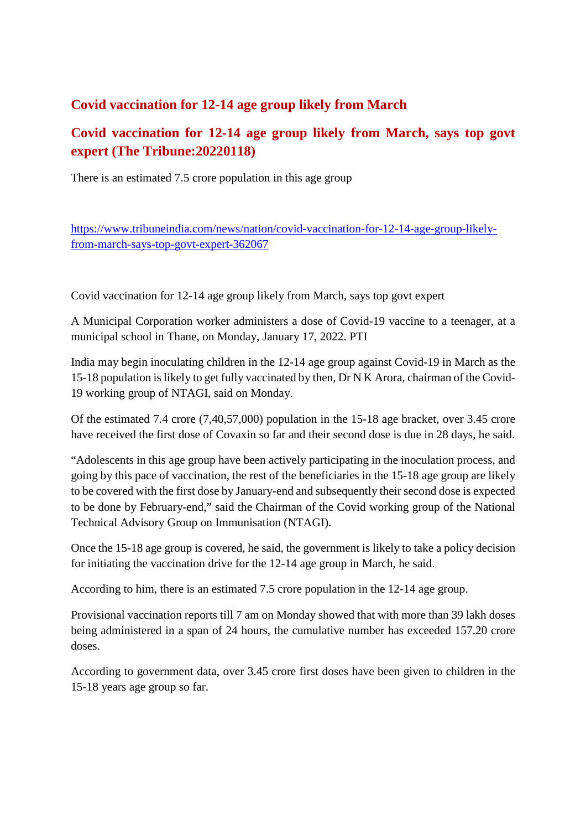## **Covid vaccination for 12-14 age group likely from March**

## **Covid vaccination for 12-14 age group likely from March, says top govt expert (The Tribune:20220118)**

There is an estimated 7.5 crore population in this age group

https://www.tribuneindia.com/news/nation/covid-vaccination-for-12-14-age-group-likelyfrom-march-says-top-govt-expert-362067

Covid vaccination for 12-14 age group likely from March, says top govt expert

A Municipal Corporation worker administers a dose of Covid-19 vaccine to a teenager, at a municipal school in Thane, on Monday, January 17, 2022. PTI

India may begin inoculating children in the 12-14 age group against Covid-19 in March as the 15-18 population is likely to get fully vaccinated by then, Dr N K Arora, chairman of the Covid-19 working group of NTAGI, said on Monday.

Of the estimated 7.4 crore (7,40,57,000) population in the 15-18 age bracket, over 3.45 crore have received the first dose of Covaxin so far and their second dose is due in 28 days, he said.

"Adolescents in this age group have been actively participating in the inoculation process, and going by this pace of vaccination, the rest of the beneficiaries in the 15-18 age group are likely to be covered with the first dose by January-end and subsequently their second dose is expected to be done by February-end," said the Chairman of the Covid working group of the National Technical Advisory Group on Immunisation (NTAGI).

Once the 15-18 age group is covered, he said, the government is likely to take a policy decision for initiating the vaccination drive for the 12-14 age group in March, he said.

According to him, there is an estimated 7.5 crore population in the 12-14 age group.

Provisional vaccination reports till 7 am on Monday showed that with more than 39 lakh doses being administered in a span of 24 hours, the cumulative number has exceeded 157.20 crore doses.

According to government data, over 3.45 crore first doses have been given to children in the 15-18 years age group so far.